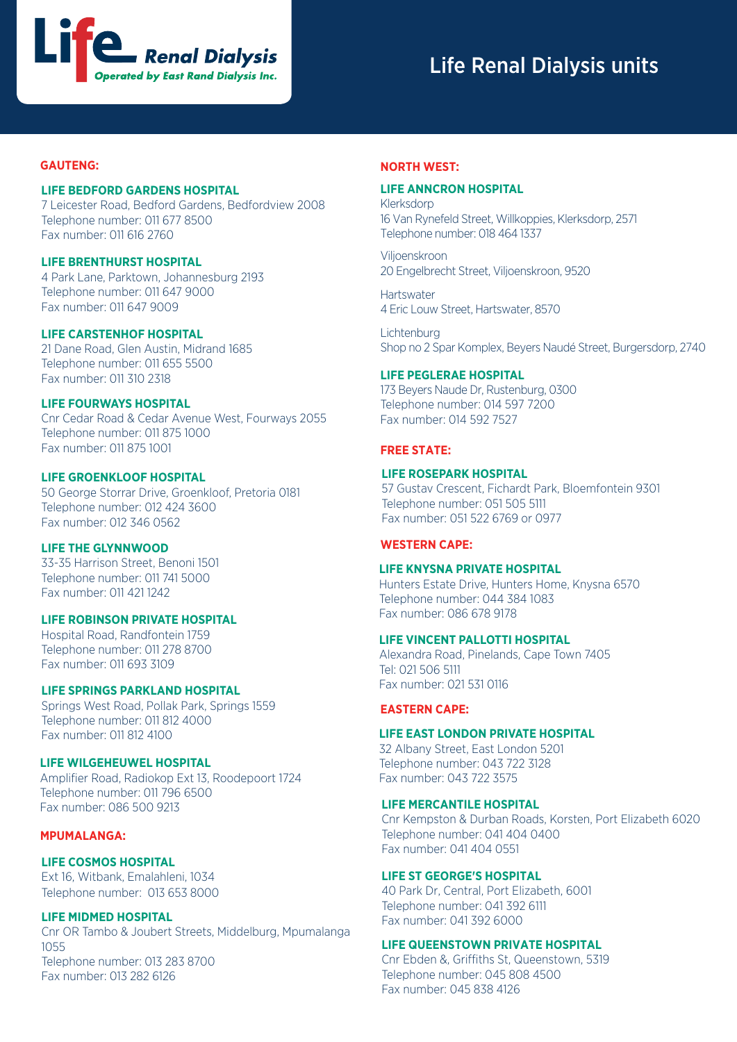

# Life Renal Dialysis units

### **GAUTENG:**

### **LIFE BEDFORD GARDENS HOSPITAL**

7 Leicester Road, Bedford Gardens, Bedfordview 2008 Telephone number: 011 677 8500 Fax number: 011 616 2760

#### **LIFE BRENTHURST HOSPITAL**

4 Park Lane, Parktown, Johannesburg 2193 Telephone number: 011 647 9000 Fax number: 011 647 9009

### **LIFE CARSTENHOF HOSPITAL**

21 Dane Road, Glen Austin, Midrand 1685 Telephone number: 011 655 5500 Fax number: 011 310 2318

## **LIFE FOURWAYS HOSPITAL**

Cnr Cedar Road & Cedar Avenue West, Fourways 2055 Telephone number: 011 875 1000 Fax number: 011 875 1001

## **LIFE GROENKLOOF HOSPITAL**

50 George Storrar Drive, Groenkloof, Pretoria 0181 Telephone number: 012 424 3600 Fax number: 012 346 0562

# **LIFE THE GLYNNWOOD**

33-35 Harrison Street, Benoni 1501 Telephone number: 011 741 5000 Fax number: 011 421 1242

# **LIFE ROBINSON PRIVATE HOSPITAL**

Hospital Road, Randfontein 1759 Telephone number: 011 278 8700 Fax number: 011 693 3109

## **LIFE SPRINGS PARKLAND HOSPITAL**

Springs West Road, Pollak Park, Springs 1559 Telephone number: 011 812 4000 Fax number: 011 812 4100

### **LIFE WILGEHEUWEL HOSPITAL**

Amplifier Road, Radiokop Ext 13, Roodepoort 1724 Telephone number: 011 796 6500 Fax number: 086 500 9213

## **MPUMALANGA:**

#### **LIFE COSMOS HOSPITAL**

Ext 16, Witbank, Emalahleni, 1034 Telephone number: 013 653 8000

# **LIFE MIDMED HOSPITAL**

Cnr OR Tambo & Joubert Streets, Middelburg, Mpumalanga 1055 Telephone number: 013 283 8700 Fax number: 013 282 6126

#### **NORTH WEST:**

#### **LIFE ANNCRON HOSPITAL**

Klerksdorp 16 Van Rynefeld Street, Willkoppies, Klerksdorp, 2571 Telephone number: 018 464 1337

Viljoenskroon 20 Engelbrecht Street, Viljoenskroon, 9520

**Hartswater** 4 Eric Louw Street, Hartswater, 8570

**Lichtenburg** Shop no 2 Spar Komplex, Beyers Naudé Street, Burgersdorp, 2740

### **LIFE PEGLERAE HOSPITAL**

 173 Beyers Naude Dr, Rustenburg, 0300 Telephone number: 014 597 7200 Fax number: 014 592 7527

#### **FREE STATE:**

## **LIFE ROSEPARK HOSPITAL**

57 Gustav Crescent, Fichardt Park, Bloemfontein 9301 Telephone number: 051 505 5111 Fax number: 051 522 6769 or 0977

## **WESTERN CAPE:**

## **LIFE KNYSNA PRIVATE HOSPITAL**

Hunters Estate Drive, Hunters Home, Knysna 6570 Telephone number: 044 384 1083 Fax number: 086 678 9178

#### **LIFE VINCENT PALLOTTI HOSPITAL**

Alexandra Road, Pinelands, Cape Town 7405 Tel: 021 506 5111 Fax number: 021 531 0116

#### **EASTERN CAPE:**

#### **LIFE EAST LONDON PRIVATE HOSPITAL**

32 Albany Street, East London 5201 Telephone number: 043 722 3128 Fax number: 043 722 3575

## **LIFE MERCANTILE HOSPITAL**

Cnr Kempston & Durban Roads, Korsten, Port Elizabeth 6020 Telephone number: 041 404 0400 Fax number: 041 404 0551

## **LIFE ST GEORGE'S HOSPITAL**

40 Park Dr, Central, Port Elizabeth, 6001 Telephone number: 041 392 6111 Fax number: 041 392 6000

## **LIFE QUEENSTOWN PRIVATE HOSPITAL**

Cnr Ebden &, Griffiths St, Queenstown, 5319 Telephone number: 045 808 4500 Fax number: 045 838 4126